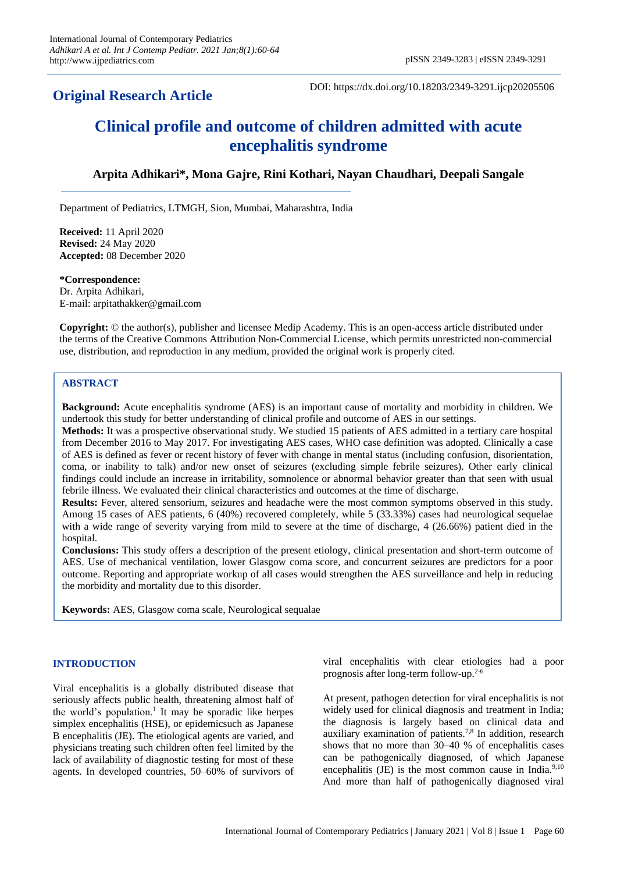# **Original Research Article**

DOI: https://dx.doi.org/10.18203/2349-3291.ijcp20205506

# **Clinical profile and outcome of children admitted with acute encephalitis syndrome**

# **Arpita Adhikari\*, Mona Gajre, Rini Kothari, Nayan Chaudhari, Deepali Sangale**

Department of Pediatrics, LTMGH, Sion, Mumbai, Maharashtra, India

**Received:** 11 April 2020 **Revised:** 24 May 2020 **Accepted:** 08 December 2020

**\*Correspondence:** Dr. Arpita Adhikari, E-mail: arpitathakker@gmail.com

**Copyright:** © the author(s), publisher and licensee Medip Academy. This is an open-access article distributed under the terms of the Creative Commons Attribution Non-Commercial License, which permits unrestricted non-commercial use, distribution, and reproduction in any medium, provided the original work is properly cited.

# **ABSTRACT**

**Background:** Acute encephalitis syndrome (AES) is an important cause of mortality and morbidity in children. We undertook this study for better understanding of clinical profile and outcome of AES in our settings.

**Methods:** It was a prospective observational study. We studied 15 patients of AES admitted in a tertiary care hospital from December 2016 to May 2017. For investigating AES cases, WHO case definition was adopted. Clinically a case of AES is defined as fever or recent history of fever with change in mental status (including confusion, disorientation, coma, or inability to talk) and/or new onset of seizures (excluding simple febrile seizures). Other early clinical findings could include an increase in irritability, somnolence or abnormal behavior greater than that seen with usual febrile illness. We evaluated their clinical characteristics and outcomes at the time of discharge.

**Results:** Fever, altered sensorium, seizures and headache were the most common symptoms observed in this study. Among 15 cases of AES patients, 6 (40%) recovered completely, while 5 (33.33%) cases had neurological sequelae with a wide range of severity varying from mild to severe at the time of discharge, 4 (26.66%) patient died in the hospital.

**Conclusions:** This study offers a description of the present etiology, clinical presentation and short-term outcome of AES. Use of mechanical ventilation, lower Glasgow coma score, and concurrent seizures are predictors for a poor outcome. Reporting and appropriate workup of all cases would strengthen the AES surveillance and help in reducing the morbidity and mortality due to this disorder.

**Keywords:** AES, Glasgow coma scale, Neurological sequalae

## **INTRODUCTION**

Viral encephalitis is a globally distributed disease that seriously affects public health, threatening almost half of the world's population.<sup>1</sup> It may be sporadic like herpes simplex encephalitis (HSE), or epidemicsuch as Japanese B encephalitis (JE). The etiological agents are varied, and physicians treating such children often feel limited by the lack of availability of diagnostic testing for most of these agents. In developed countries, 50–60% of survivors of viral encephalitis with clear etiologies had a poor prognosis after long-term follow-up. 2-6

At present, pathogen detection for viral encephalitis is not widely used for clinical diagnosis and treatment in India; the diagnosis is largely based on clinical data and auxiliary examination of patients.7,8 In addition, research shows that no more than 30–40 % of encephalitis cases can be pathogenically diagnosed, of which Japanese encephalitis (JE) is the most common cause in India.<sup>9,10</sup> And more than half of pathogenically diagnosed viral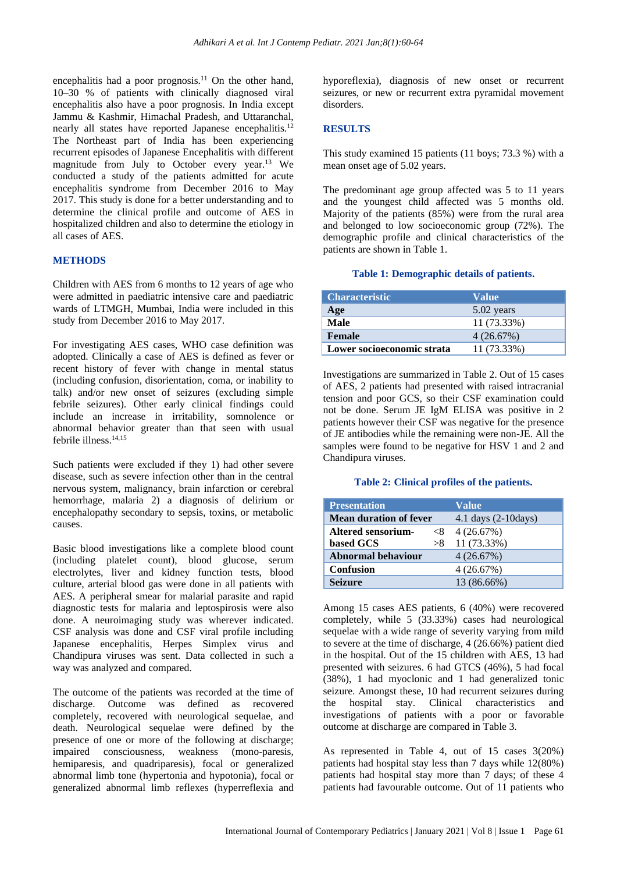encephalitis had a poor prognosis.<sup>11</sup> On the other hand, 10–30 % of patients with clinically diagnosed viral encephalitis also have a poor prognosis. In India except Jammu & Kashmir, Himachal Pradesh, and Uttaranchal, nearly all states have reported Japanese encephalitis.<sup>12</sup> The Northeast part of India has been experiencing recurrent episodes of Japanese Encephalitis with different magnitude from July to October every year.<sup>13</sup> We conducted a study of the patients admitted for acute encephalitis syndrome from December 2016 to May 2017. This study is done for a better understanding and to determine the clinical profile and outcome of AES in hospitalized children and also to determine the etiology in all cases of AES.

#### **METHODS**

Children with AES from 6 months to 12 years of age who were admitted in paediatric intensive care and paediatric wards of LTMGH, Mumbai, India were included in this study from December 2016 to May 2017.

For investigating AES cases, WHO case definition was adopted. Clinically a case of AES is defined as fever or recent history of fever with change in mental status (including confusion, disorientation, coma, or inability to talk) and/or new onset of seizures (excluding simple febrile seizures). Other early clinical findings could include an increase in irritability, somnolence or abnormal behavior greater than that seen with usual febrile illness.<sup>14,15</sup>

Such patients were excluded if they 1) had other severe disease, such as severe infection other than in the central nervous system, malignancy, brain infarction or cerebral hemorrhage, malaria 2) a diagnosis of delirium or encephalopathy secondary to sepsis, toxins, or metabolic causes.

Basic blood investigations like a complete blood count (including platelet count), blood glucose, serum electrolytes, liver and kidney function tests, blood culture, arterial blood gas were done in all patients with AES. A peripheral smear for malarial parasite and rapid diagnostic tests for malaria and leptospirosis were also done. A neuroimaging study was wherever indicated. CSF analysis was done and CSF viral profile including Japanese encephalitis, Herpes Simplex virus and Chandipura viruses was sent. Data collected in such a way was analyzed and compared.

The outcome of the patients was recorded at the time of discharge. Outcome was defined as recovered completely, recovered with neurological sequelae, and death. Neurological sequelae were defined by the presence of one or more of the following at discharge; impaired consciousness, weakness (mono-paresis, hemiparesis, and quadriparesis), focal or generalized abnormal limb tone (hypertonia and hypotonia), focal or generalized abnormal limb reflexes (hyperreflexia and hyporeflexia), diagnosis of new onset or recurrent seizures, or new or recurrent extra pyramidal movement disorders.

#### **RESULTS**

This study examined 15 patients (11 boys; 73.3 %) with a mean onset age of 5.02 years.

The predominant age group affected was 5 to 11 years and the youngest child affected was 5 months old. Majority of the patients (85%) were from the rural area and belonged to low socioeconomic group (72%). The demographic profile and clinical characteristics of the patients are shown in Table 1.

#### **Table 1: Demographic details of patients.**

| <b>Characteristic</b>      | <b>Value</b> |
|----------------------------|--------------|
| Age                        | 5.02 years   |
| <b>Male</b>                | 11 (73.33%)  |
| Female                     | 4(26.67%)    |
| Lower socioeconomic strata | 11 (73.33%)  |

Investigations are summarized in Table 2. Out of 15 cases of AES, 2 patients had presented with raised intracranial tension and poor GCS, so their CSF examination could not be done. Serum JE IgM ELISA was positive in 2 patients however their CSF was negative for the presence of JE antibodies while the remaining were non-JE. All the samples were found to be negative for HSV 1 and 2 and Chandipura viruses.

#### **Table 2: Clinical profiles of the patients.**

| <b>Presentation</b>           |       | Value                         |
|-------------------------------|-------|-------------------------------|
| <b>Mean duration of fever</b> |       | 4.1 days $(2-10 \text{days})$ |
| <b>Altered sensorium-</b>     | $<$ 8 | 4(26.67%)                     |
| based GCS                     | >8    | 11 (73.33%)                   |
| <b>Abnormal behaviour</b>     |       | 4(26.67%)                     |
| <b>Confusion</b>              |       | 4(26.67%)                     |
| <b>Seizure</b>                |       | 13 (86.66%)                   |

Among 15 cases AES patients, 6 (40%) were recovered completely, while 5 (33.33%) cases had neurological sequelae with a wide range of severity varying from mild to severe at the time of discharge, 4 (26.66%) patient died in the hospital. Out of the 15 children with AES, 13 had presented with seizures. 6 had GTCS (46%), 5 had focal (38%), 1 had myoclonic and 1 had generalized tonic seizure. Amongst these, 10 had recurrent seizures during the hospital stay. Clinical characteristics and investigations of patients with a poor or favorable outcome at discharge are compared in Table 3.

As represented in Table 4, out of 15 cases 3(20%) patients had hospital stay less than 7 days while 12(80%) patients had hospital stay more than 7 days; of these 4 patients had favourable outcome. Out of 11 patients who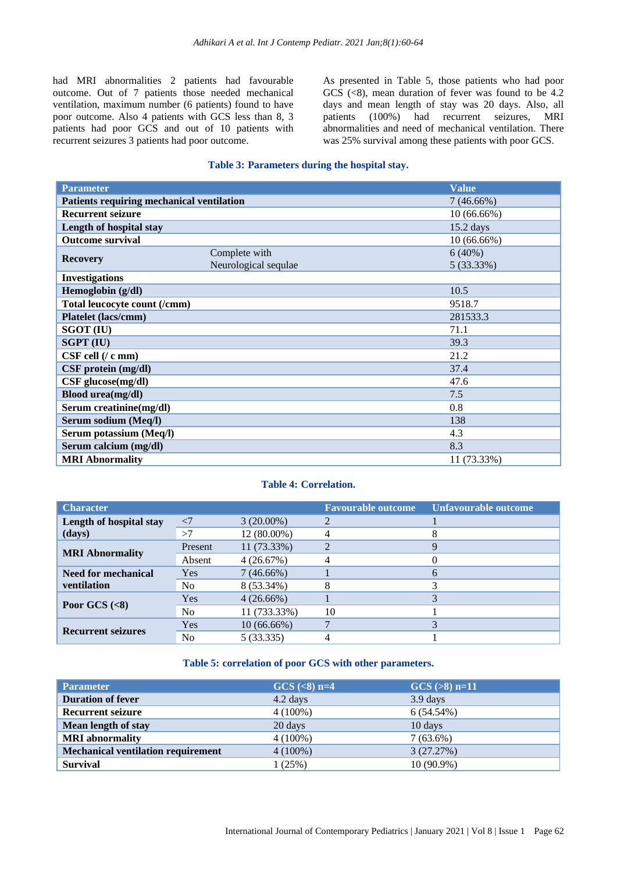had MRI abnormalities 2 patients had favourable outcome. Out of 7 patients those needed mechanical ventilation, maximum number (6 patients) found to have poor outcome. Also 4 patients with GCS less than 8, 3 patients had poor GCS and out of 10 patients with recurrent seizures 3 patients had poor outcome.

As presented in Table 5, those patients who had poor GCS  $(<8)$ , mean duration of fever was found to be 4.2 days and mean length of stay was 20 days. Also, all patients (100%) had recurrent seizures, MRI abnormalities and need of mechanical ventilation. There was 25% survival among these patients with poor GCS.

# **Table 3: Parameters during the hospital stay.**

| <b>Parameter</b>                          |                      | <b>Value</b>  |
|-------------------------------------------|----------------------|---------------|
| Patients requiring mechanical ventilation |                      | 7(46.66%)     |
| <b>Recurrent seizure</b>                  |                      | $10(66.66\%)$ |
| Length of hospital stay                   |                      | $15.2$ days   |
| <b>Outcome survival</b>                   |                      | $10(66.66\%)$ |
|                                           | Complete with        | 6(40%)        |
| <b>Recovery</b>                           | Neurological sequlae | 5 (33.33%)    |
| <b>Investigations</b>                     |                      |               |
| Hemoglobin $(g/dl)$                       | 10.5                 |               |
| Total leucocyte count (/cmm)              |                      | 9518.7        |
| Platelet (lacs/cmm)                       |                      | 281533.3      |
| <b>SGOT (IU)</b>                          | 71.1                 |               |
| <b>SGPT (IU)</b>                          |                      | 39.3          |
| CSF cell (/ c mm)                         | 21.2                 |               |
| CSF protein (mg/dl)                       | 37.4                 |               |
| $CSF$ glucose $(mg/dl)$                   | 47.6                 |               |
| Blood urea(mg/dl)                         | 7.5                  |               |
| Serum creatinine(mg/dl)                   | 0.8                  |               |
| Serum sodium (Meq/l)                      |                      | 138           |
| Serum potassium (Meq/l)                   | 4.3                  |               |
| Serum calcium (mg/dl)                     | 8.3                  |               |
| <b>MRI Abnormality</b>                    |                      | 11 (73.33%)   |

# **Table 4: Correlation.**

| <b>Character</b>                                 |                |               | <b>Favourable outcome</b> | Unfavourable outcome |
|--------------------------------------------------|----------------|---------------|---------------------------|----------------------|
| Length of hospital stay<br>(days)                |                | $3(20.00\%)$  |                           |                      |
|                                                  | >7             | 12 (80.00%)   |                           | 8                    |
| <b>MRI Abnormality</b>                           | Present        | 11 (73.33%)   |                           |                      |
|                                                  | Absent         | 4(26.67%)     |                           |                      |
| <b>Need for mechanical</b><br><b>ventilation</b> | <b>Yes</b>     | $7(46.66\%)$  |                           | n                    |
|                                                  | No.            | 8 (53.34%)    | 8                         |                      |
| Poor GCS $(<8)$                                  | <b>Yes</b>     | $4(26.66\%)$  |                           |                      |
|                                                  | No             | 11 (733.33%)  | 10                        |                      |
| <b>Recurrent seizures</b>                        | Yes            | $10(66.66\%)$ |                           |                      |
|                                                  | N <sub>0</sub> | 5 (33.335)    |                           |                      |

# **Table 5: correlation of poor GCS with other parameters.**

| <b>Parameter</b>                   | $GCS$ (<8) n=4 | $GCS (>8)$ n=11 |
|------------------------------------|----------------|-----------------|
| <b>Duration of fever</b>           | 4.2 days       | 3.9 days        |
| <b>Recurrent seizure</b>           | $4(100\%)$     | 6(54.54%)       |
| Mean length of stay                | 20 days        | 10 days         |
| <b>MRI</b> abnormality             | $4(100\%)$     | $7(63.6\%)$     |
| Mechanical ventilation requirement | $4(100\%)$     | 3(27.27%)       |
| <b>Survival</b>                    | 1 (25%)        | $10(90.9\%)$    |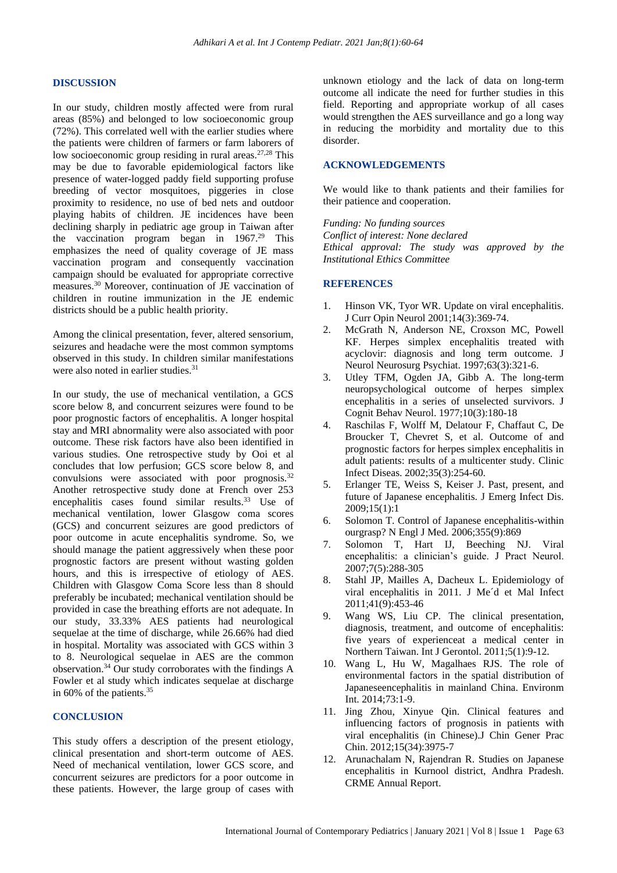#### **DISCUSSION**

In our study, children mostly affected were from rural areas (85%) and belonged to low socioeconomic group (72%). This correlated well with the earlier studies where the patients were children of farmers or farm laborers of low socioeconomic group residing in rural areas.<sup>27,28</sup> This may be due to favorable epidemiological factors like presence of water-logged paddy field supporting profuse breeding of vector mosquitoes, piggeries in close proximity to residence, no use of bed nets and outdoor playing habits of children. JE incidences have been declining sharply in pediatric age group in Taiwan after the vaccination program began in  $1967.<sup>29</sup>$  This emphasizes the need of quality coverage of JE mass vaccination program and consequently vaccination campaign should be evaluated for appropriate corrective measures.<sup>30</sup> Moreover, continuation of JE vaccination of children in routine immunization in the JE endemic districts should be a public health priority.

Among the clinical presentation, fever, altered sensorium, seizures and headache were the most common symptoms observed in this study. In children similar manifestations were also noted in earlier studies.<sup>31</sup>

In our study, the use of mechanical ventilation, a GCS score below 8, and concurrent seizures were found to be poor prognostic factors of encephalitis. A longer hospital stay and MRI abnormality were also associated with poor outcome. These risk factors have also been identified in various studies. One retrospective study by Ooi et al concludes that low perfusion; GCS score below 8, and convulsions were associated with poor prognosis.<sup>32</sup> Another retrospective study done at French over 253 encephalitis cases found similar results.<sup>33</sup> Use of mechanical ventilation, lower Glasgow coma scores (GCS) and concurrent seizures are good predictors of poor outcome in acute encephalitis syndrome. So, we should manage the patient aggressively when these poor prognostic factors are present without wasting golden hours, and this is irrespective of etiology of AES. Children with Glasgow Coma Score less than 8 should preferably be incubated; mechanical ventilation should be provided in case the breathing efforts are not adequate. In our study, 33.33% AES patients had neurological sequelae at the time of discharge, while 26.66% had died in hospital. Mortality was associated with GCS within 3 to 8. Neurological sequelae in AES are the common observation.<sup>34</sup> Our study corroborates with the findings A Fowler et al study which indicates sequelae at discharge in 60% of the patients.<sup>35</sup>

#### **CONCLUSION**

This study offers a description of the present etiology, clinical presentation and short-term outcome of AES. Need of mechanical ventilation, lower GCS score, and concurrent seizures are predictors for a poor outcome in these patients. However, the large group of cases with unknown etiology and the lack of data on long-term outcome all indicate the need for further studies in this field. Reporting and appropriate workup of all cases would strengthen the AES surveillance and go a long way in reducing the morbidity and mortality due to this disorder.

#### **ACKNOWLEDGEMENTS**

We would like to thank patients and their families for their patience and cooperation.

*Funding: No funding sources Conflict of interest: None declared Ethical approval: The study was approved by the Institutional Ethics Committee*

## **REFERENCES**

- 1. Hinson VK, Tyor WR. Update on viral encephalitis. J Curr Opin Neurol 2001;14(3):369-74.
- 2. McGrath N, Anderson NE, Croxson MC, Powell KF. Herpes simplex encephalitis treated with acyclovir: diagnosis and long term outcome. J Neurol Neurosurg Psychiat. 1997;63(3):321-6.
- 3. Utley TFM, Ogden JA, Gibb A. The long-term neuropsychological outcome of herpes simplex encephalitis in a series of unselected survivors. J Cognit Behav Neurol. 1977;10(3):180-18
- 4. Raschilas F, Wolff M, Delatour F, Chaffaut C, De Broucker T, Chevret S, et al. Outcome of and prognostic factors for herpes simplex encephalitis in adult patients: results of a multicenter study. Clinic Infect Diseas. 2002;35(3):254-60.
- 5. Erlanger TE, Weiss S, Keiser J. Past, present, and future of Japanese encephalitis. J Emerg Infect Dis. 2009;15(1):1
- 6. Solomon T. Control of Japanese encephalitis-within ourgrasp? N Engl J Med. 2006;355(9):869
- 7. Solomon T, Hart IJ, Beeching NJ. Viral encephalitis: a clinician's guide. J Pract Neurol. 2007;7(5):288-305
- 8. Stahl JP, Mailles A, Dacheux L. Epidemiology of viral encephalitis in 2011. J Me´d et Mal Infect 2011;41(9):453-46
- 9. Wang WS, Liu CP. The clinical presentation, diagnosis, treatment, and outcome of encephalitis: five years of experienceat a medical center in Northern Taiwan. Int J Gerontol. 2011;5(1):9-12.
- 10. Wang L, Hu W, Magalhaes RJS. The role of environmental factors in the spatial distribution of Japaneseencephalitis in mainland China. Environm Int. 2014;73:1-9.
- 11. Jing Zhou, Xinyue Qin. Clinical features and influencing factors of prognosis in patients with viral encephalitis (in Chinese).J Chin Gener Prac Chin. 2012;15(34):3975-7
- 12. Arunachalam N, Rajendran R. Studies on Japanese encephalitis in Kurnool district, Andhra Pradesh. CRME Annual Report.